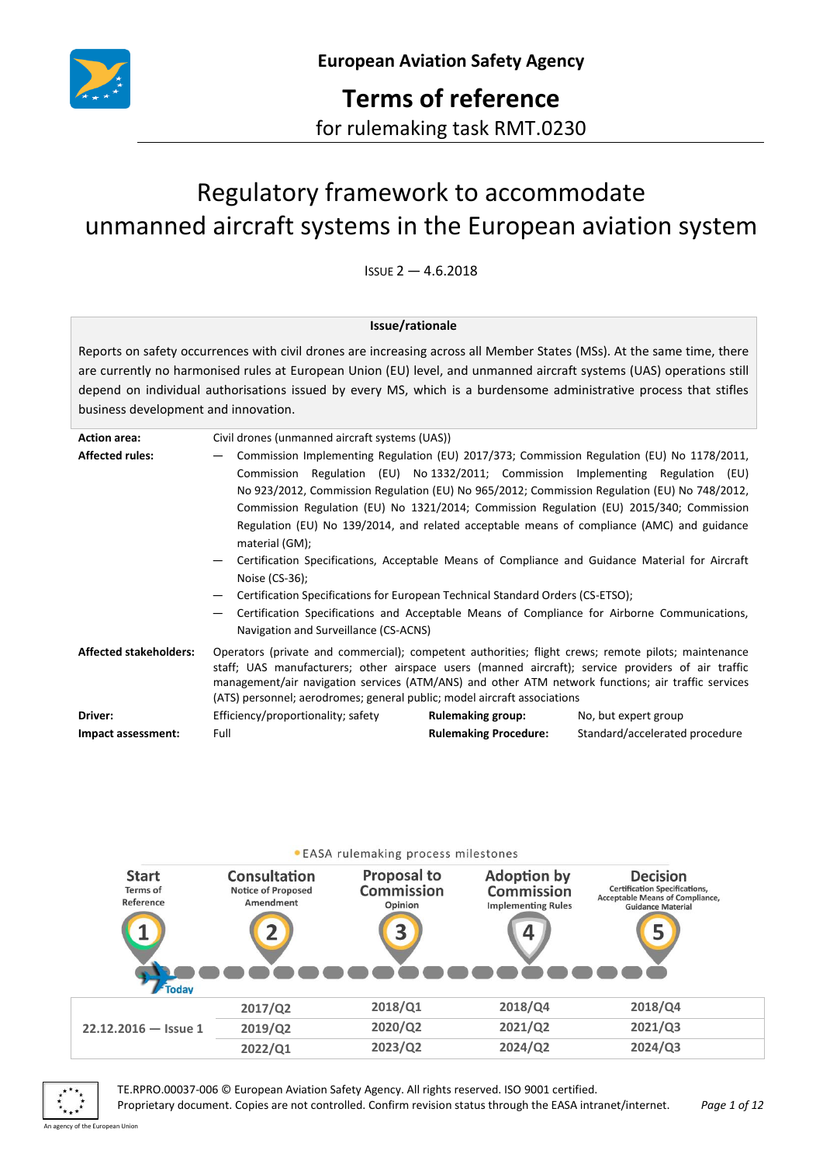

**Terms of reference** for rulemaking task RMT.0230

# Regulatory framework to accommodate unmanned aircraft systems in the European aviation system

 $I$ SSUE  $2 - 4.6.2018$ 

#### **Issue/rationale**

Reports on safety occurrences with civil drones are increasing across all Member States (MSs). At the same time, there are currently no harmonised rules at European Union (EU) level, and unmanned aircraft systems (UAS) operations still depend on individual authorisations issued by every MS, which is a burdensome administrative process that stifles business development and innovation.

| <b>Action area:</b>           | Civil drones (unmanned aircraft systems (UAS))                                                                                                                                                                                                                                                                                                                                                                     |                              |                                |  |  |  |
|-------------------------------|--------------------------------------------------------------------------------------------------------------------------------------------------------------------------------------------------------------------------------------------------------------------------------------------------------------------------------------------------------------------------------------------------------------------|------------------------------|--------------------------------|--|--|--|
| <b>Affected rules:</b>        | Commission Implementing Regulation (EU) 2017/373; Commission Regulation (EU) No 1178/2011,                                                                                                                                                                                                                                                                                                                         |                              |                                |  |  |  |
|                               | Commission Regulation (EU) No 1332/2011; Commission Implementing Regulation (EU)                                                                                                                                                                                                                                                                                                                                   |                              |                                |  |  |  |
|                               | No 923/2012, Commission Regulation (EU) No 965/2012; Commission Regulation (EU) No 748/2012,                                                                                                                                                                                                                                                                                                                       |                              |                                |  |  |  |
|                               | Commission Regulation (EU) No 1321/2014; Commission Regulation (EU) 2015/340; Commission<br>Regulation (EU) No 139/2014, and related acceptable means of compliance (AMC) and guidance<br>material (GM);<br>Certification Specifications, Acceptable Means of Compliance and Guidance Material for Aircraft<br>Noise $(CS-36)$ ;<br>Certification Specifications for European Technical Standard Orders (CS-ETSO); |                              |                                |  |  |  |
|                               |                                                                                                                                                                                                                                                                                                                                                                                                                    |                              |                                |  |  |  |
|                               |                                                                                                                                                                                                                                                                                                                                                                                                                    |                              |                                |  |  |  |
|                               |                                                                                                                                                                                                                                                                                                                                                                                                                    |                              |                                |  |  |  |
|                               |                                                                                                                                                                                                                                                                                                                                                                                                                    |                              |                                |  |  |  |
|                               |                                                                                                                                                                                                                                                                                                                                                                                                                    |                              |                                |  |  |  |
|                               | Certification Specifications and Acceptable Means of Compliance for Airborne Communications,<br>Navigation and Surveillance (CS-ACNS)                                                                                                                                                                                                                                                                              |                              |                                |  |  |  |
| <b>Affected stakeholders:</b> | Operators (private and commercial); competent authorities; flight crews; remote pilots; maintenance<br>staff; UAS manufacturers; other airspace users (manned aircraft); service providers of air traffic<br>management/air navigation services (ATM/ANS) and other ATM network functions; air traffic services<br>(ATS) personnel; aerodromes; general public; model aircraft associations                        |                              |                                |  |  |  |
| Driver:                       | Efficiency/proportionality; safety                                                                                                                                                                                                                                                                                                                                                                                 | <b>Rulemaking group:</b>     | No, but expert group           |  |  |  |
| Impact assessment:            | Full                                                                                                                                                                                                                                                                                                                                                                                                               | <b>Rulemaking Procedure:</b> | Standard/accelerated procedure |  |  |  |



TE.RPRO.00037-006 © European Aviation Safety Agency. All rights reserved. ISO 9001 certified.

Proprietary document. Copies are not controlled. Confirm revision status through the EASA intranet/internet. *Page 1 of 12* An agency of the European Union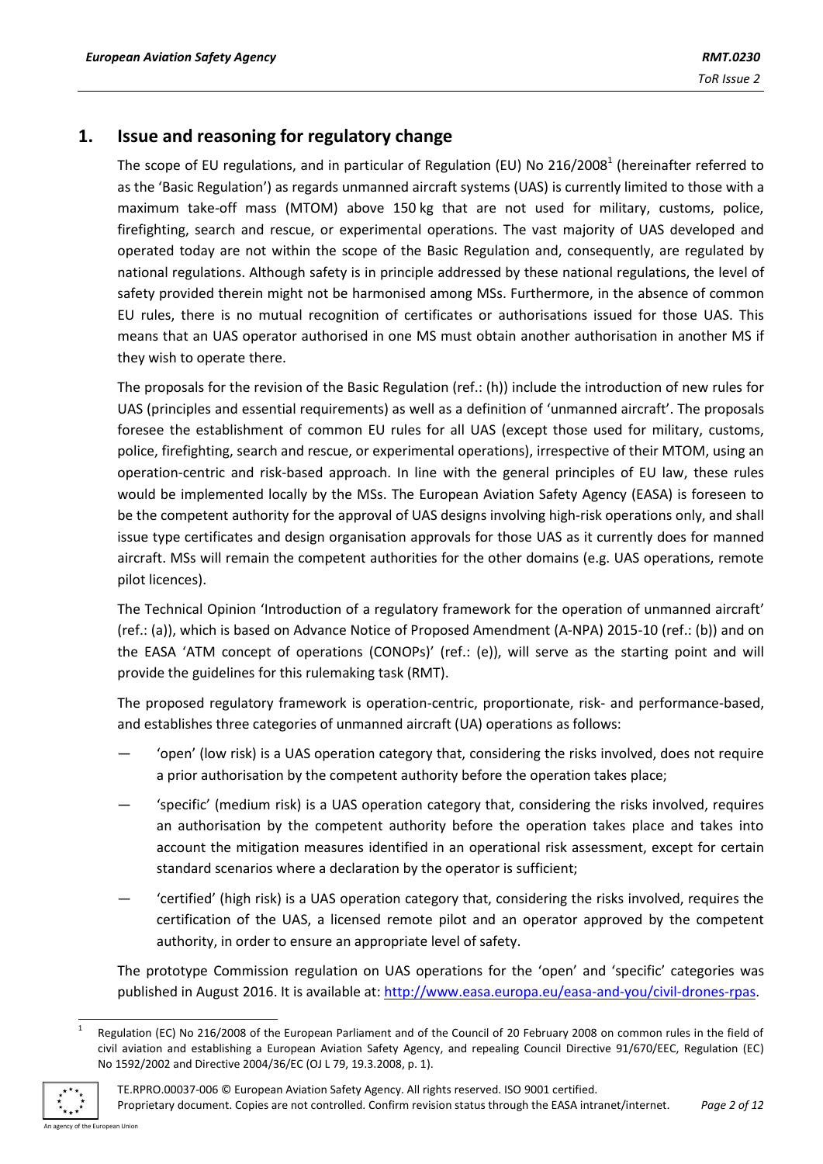## **1. Issue and reasoning for regulatory change**

The scope of EU regulations, and in particular of Regulation (EU) No 216/2008<sup>1</sup> (hereinafter referred to as the 'Basic Regulation') as regards unmanned aircraft systems (UAS) is currently limited to those with a maximum take-off mass (MTOM) above 150 kg that are not used for military, customs, police, firefighting, search and rescue, or experimental operations. The vast majority of UAS developed and operated today are not within the scope of the Basic Regulation and, consequently, are regulated by national regulations. Although safety is in principle addressed by these national regulations, the level of safety provided therein might not be harmonised among MSs. Furthermore, in the absence of common EU rules, there is no mutual recognition of certificates or authorisations issued for those UAS. This means that an UAS operator authorised in one MS must obtain another authorisation in another MS if they wish to operate there.

The proposals for the revision of the Basic Regulation (ref.: (h)) include the introduction of new rules for UAS (principles and essential requirements) as well as a definition of 'unmanned aircraft'. The proposals foresee the establishment of common EU rules for all UAS (except those used for military, customs, police, firefighting, search and rescue, or experimental operations), irrespective of their MTOM, using an operation-centric and risk-based approach. In line with the general principles of EU law, these rules would be implemented locally by the MSs. The European Aviation Safety Agency (EASA) is foreseen to be the competent authority for the approval of UAS designs involving high-risk operations only, and shall issue type certificates and design organisation approvals for those UAS as it currently does for manned aircraft. MSs will remain the competent authorities for the other domains (e.g. UAS operations, remote pilot licences).

The Technical Opinion 'Introduction of a regulatory framework for the operation of unmanned aircraft' (ref.: (a)), which is based on Advance Notice of Proposed Amendment (A-NPA) 2015-10 (ref.: (b)) and on the EASA 'ATM concept of operations (CONOPs)' (ref.: (e)), will serve as the starting point and will provide the guidelines for this rulemaking task (RMT).

The proposed regulatory framework is operation-centric, proportionate, risk- and performance-based, and establishes three categories of unmanned aircraft (UA) operations as follows:

- 'open' (low risk) is a UAS operation category that, considering the risks involved, does not require a prior authorisation by the competent authority before the operation takes place;
- 'specific' (medium risk) is a UAS operation category that, considering the risks involved, requires an authorisation by the competent authority before the operation takes place and takes into account the mitigation measures identified in an operational risk assessment, except for certain standard scenarios where a declaration by the operator is sufficient;
- 'certified' (high risk) is a UAS operation category that, considering the risks involved, requires the certification of the UAS, a licensed remote pilot and an operator approved by the competent authority, in order to ensure an appropriate level of safety.

The prototype Commission regulation on UAS operations for the 'open' and 'specific' categories was published in August 2016. It is available at: [http://www.easa.europa.eu/easa-and-you/civil-drones-rpas.](http://www.easa.europa.eu/easa-and-you/civil-drones-rpas)

<sup>1</sup> Regulation (EC) No 216/2008 of the European Parliament and of the Council of 20 February 2008 on common rules in the field of civil aviation and establishing a European Aviation Safety Agency, and repealing Council Directive 91/670/EEC, Regulation (EC) No 1592/2002 and Directive 2004/36/EC (OJ L 79, 19.3.2008, p. 1).



1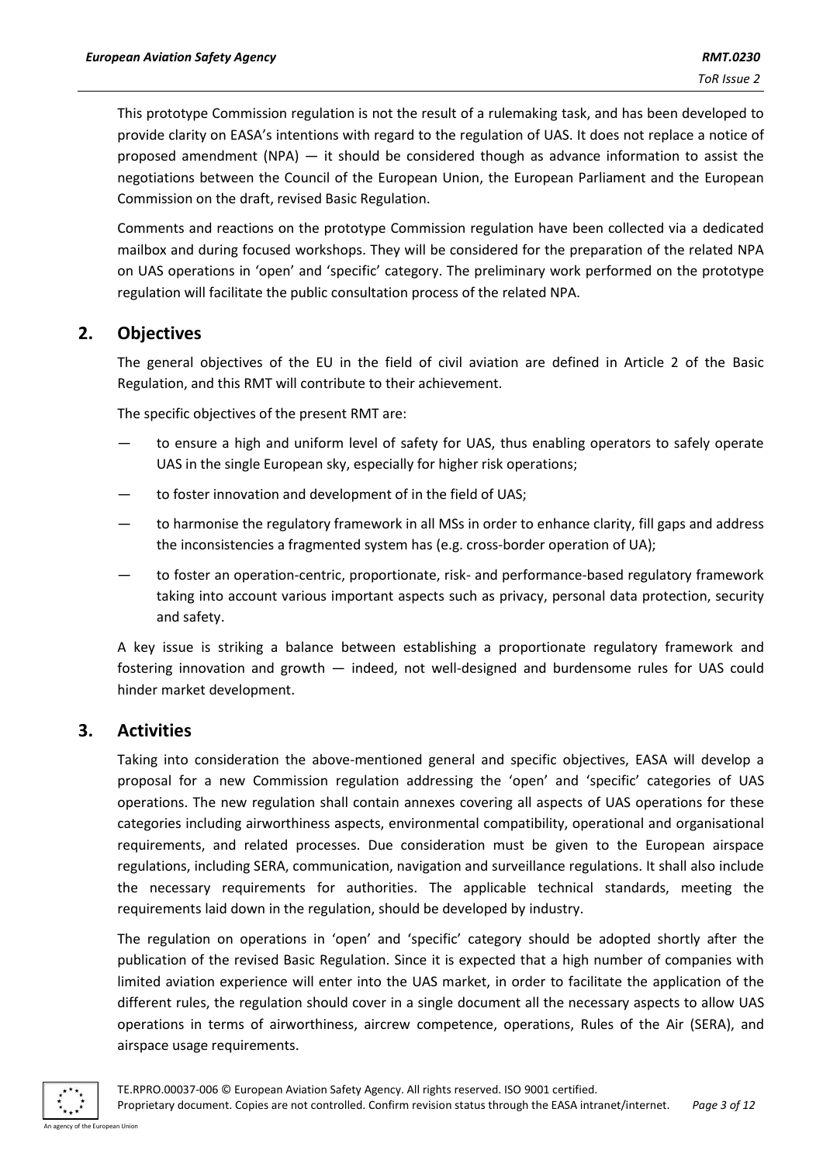This prototype Commission regulation is not the result of a rulemaking task, and has been developed to provide clarity on EASA's intentions with regard to the regulation of UAS. It does not replace a notice of proposed amendment (NPA) — it should be considered though as advance information to assist the negotiations between the Council of the European Union, the European Parliament and the European Commission on the draft, revised Basic Regulation.

Comments and reactions on the prototype Commission regulation have been collected via a dedicated mailbox and during focused workshops. They will be considered for the preparation of the related NPA on UAS operations in 'open' and 'specific' category. The preliminary work performed on the prototype regulation will facilitate the public consultation process of the related NPA.

## **2. Objectives**

The general objectives of the EU in the field of civil aviation are defined in Article 2 of the Basic Regulation, and this RMT will contribute to their achievement.

The specific objectives of the present RMT are:

- to ensure a high and uniform level of safety for UAS, thus enabling operators to safely operate UAS in the single European sky, especially for higher risk operations;
- to foster innovation and development of in the field of UAS;
- to harmonise the regulatory framework in all MSs in order to enhance clarity, fill gaps and address the inconsistencies a fragmented system has (e.g. cross-border operation of UA);
- to foster an operation-centric, proportionate, risk- and performance-based regulatory framework taking into account various important aspects such as privacy, personal data protection, security and safety.

A key issue is striking a balance between establishing a proportionate regulatory framework and fostering innovation and growth — indeed, not well-designed and burdensome rules for UAS could hinder market development.

#### **3. Activities**

Taking into consideration the above-mentioned general and specific objectives, EASA will develop a proposal for a new Commission regulation addressing the 'open' and 'specific' categories of UAS operations. The new regulation shall contain annexes covering all aspects of UAS operations for these categories including airworthiness aspects, environmental compatibility, operational and organisational requirements, and related processes. Due consideration must be given to the European airspace regulations, including SERA, communication, navigation and surveillance regulations. It shall also include the necessary requirements for authorities. The applicable technical standards, meeting the requirements laid down in the regulation, should be developed by industry.

The regulation on operations in 'open' and 'specific' category should be adopted shortly after the publication of the revised Basic Regulation. Since it is expected that a high number of companies with limited aviation experience will enter into the UAS market, in order to facilitate the application of the different rules, the regulation should cover in a single document all the necessary aspects to allow UAS operations in terms of airworthiness, aircrew competence, operations, Rules of the Air (SERA), and airspace usage requirements.

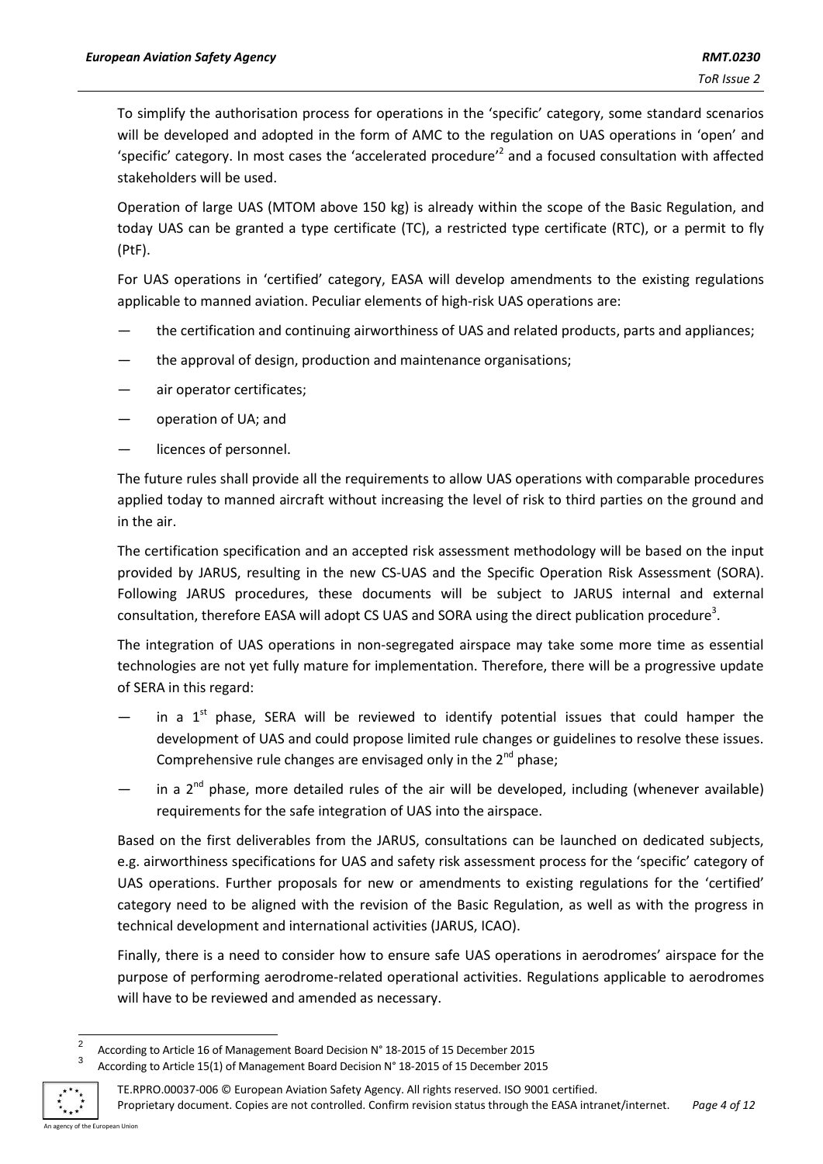To simplify the authorisation process for operations in the 'specific' category, some standard scenarios will be developed and adopted in the form of AMC to the regulation on UAS operations in 'open' and 'specific' category. In most cases the 'accelerated procedure'<sup>2</sup> and a focused consultation with affected stakeholders will be used.

Operation of large UAS (MTOM above 150 kg) is already within the scope of the Basic Regulation, and today UAS can be granted a type certificate (TC), a restricted type certificate (RTC), or a permit to fly (PtF).

For UAS operations in 'certified' category, EASA will develop amendments to the existing regulations applicable to manned aviation. Peculiar elements of high-risk UAS operations are:

- the certification and continuing airworthiness of UAS and related products, parts and appliances;
- the approval of design, production and maintenance organisations;
- air operator certificates;
- operation of UA; and
- licences of personnel.

The future rules shall provide all the requirements to allow UAS operations with comparable procedures applied today to manned aircraft without increasing the level of risk to third parties on the ground and in the air.

The certification specification and an accepted risk assessment methodology will be based on the input provided by JARUS, resulting in the new CS-UAS and the Specific Operation Risk Assessment (SORA). Following JARUS procedures, these documents will be subject to JARUS internal and external consultation, therefore EASA will adopt CS UAS and SORA using the direct publication procedure<sup>3</sup>.

The integration of UAS operations in non-segregated airspace may take some more time as essential technologies are not yet fully mature for implementation. Therefore, there will be a progressive update of SERA in this regard:

- $-$  in a 1<sup>st</sup> phase, SERA will be reviewed to identify potential issues that could hamper the development of UAS and could propose limited rule changes or guidelines to resolve these issues. Comprehensive rule changes are envisaged only in the  $2^{nd}$  phase;
- $-$  in a 2<sup>nd</sup> phase, more detailed rules of the air will be developed, including (whenever available) requirements for the safe integration of UAS into the airspace.

Based on the first deliverables from the JARUS, consultations can be launched on dedicated subjects, e.g. airworthiness specifications for UAS and safety risk assessment process for the 'specific' category of UAS operations. Further proposals for new or amendments to existing regulations for the 'certified' category need to be aligned with the revision of the Basic Regulation, as well as with the progress in technical development and international activities (JARUS, ICAO).

Finally, there is a need to consider how to ensure safe UAS operations in aerodromes' airspace for the purpose of performing aerodrome-related operational activities. Regulations applicable to aerodromes will have to be reviewed and amended as necessary.

 $\frac{1}{2}$ According to Article 16 of Management Board Decision N° 18-2015 of 15 December 2015 3

According to Article 15(1) of Management Board Decision N° 18-2015 of 15 December 2015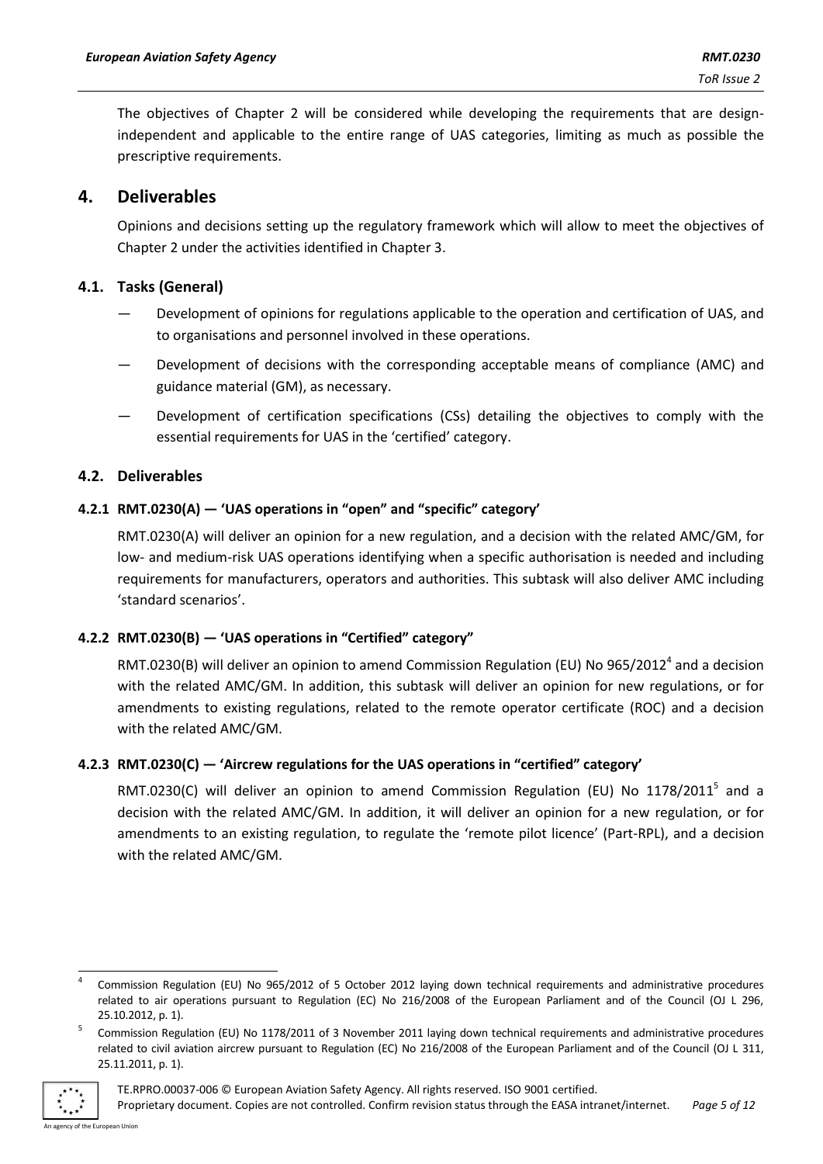The objectives of Chapter 2 will be considered while developing the requirements that are designindependent and applicable to the entire range of UAS categories, limiting as much as possible the prescriptive requirements.

## **4. Deliverables**

Opinions and decisions setting up the regulatory framework which will allow to meet the objectives of Chapter 2 under the activities identified in Chapter 3.

#### **4.1. Tasks (General)**

- Development of opinions for regulations applicable to the operation and certification of UAS, and to organisations and personnel involved in these operations.
- Development of decisions with the corresponding acceptable means of compliance (AMC) and guidance material (GM), as necessary.
- Development of certification specifications (CSs) detailing the objectives to comply with the essential requirements for UAS in the 'certified' category.

#### **4.2. Deliverables**

#### **4.2.1 RMT.0230(A) — 'UAS operations in "open" and "specific" category'**

RMT.0230(A) will deliver an opinion for a new regulation, and a decision with the related AMC/GM, for low- and medium-risk UAS operations identifying when a specific authorisation is needed and including requirements for manufacturers, operators and authorities. This subtask will also deliver AMC including 'standard scenarios'.

#### **4.2.2 RMT.0230(B) — 'UAS operations in "Certified" category"**

RMT.0230(B) will deliver an opinion to amend Commission Regulation (EU) No 965/2012<sup>4</sup> and a decision with the related AMC/GM. In addition, this subtask will deliver an opinion for new regulations, or for amendments to existing regulations, related to the remote operator certificate (ROC) and a decision with the related AMC/GM.

#### **4.2.3 RMT.0230(C) — 'Aircrew regulations for the UAS operations in "certified" category'**

RMT.0230(C) will deliver an opinion to amend Commission Regulation (EU) No  $1178/2011^5$  and a decision with the related AMC/GM. In addition, it will deliver an opinion for a new regulation, or for amendments to an existing regulation, to regulate the 'remote pilot licence' (Part-RPL), and a decision with the related AMC/GM.

<sup>5</sup> Commission Regulation (EU) No 1178/2011 of 3 November 2011 laying down technical requirements and administrative procedures related to civil aviation aircrew pursuant to Regulation (EC) No 216/2008 of the European Parliament and of the Council (OJ L 311, 25.11.2011, p. 1).



<sup>1</sup> 4 Commission Regulation (EU) No 965/2012 of 5 October 2012 laying down technical requirements and administrative procedures related to air operations pursuant to Regulation (EC) No 216/2008 of the European Parliament and of the Council (OJ L 296, 25.10.2012, p. 1).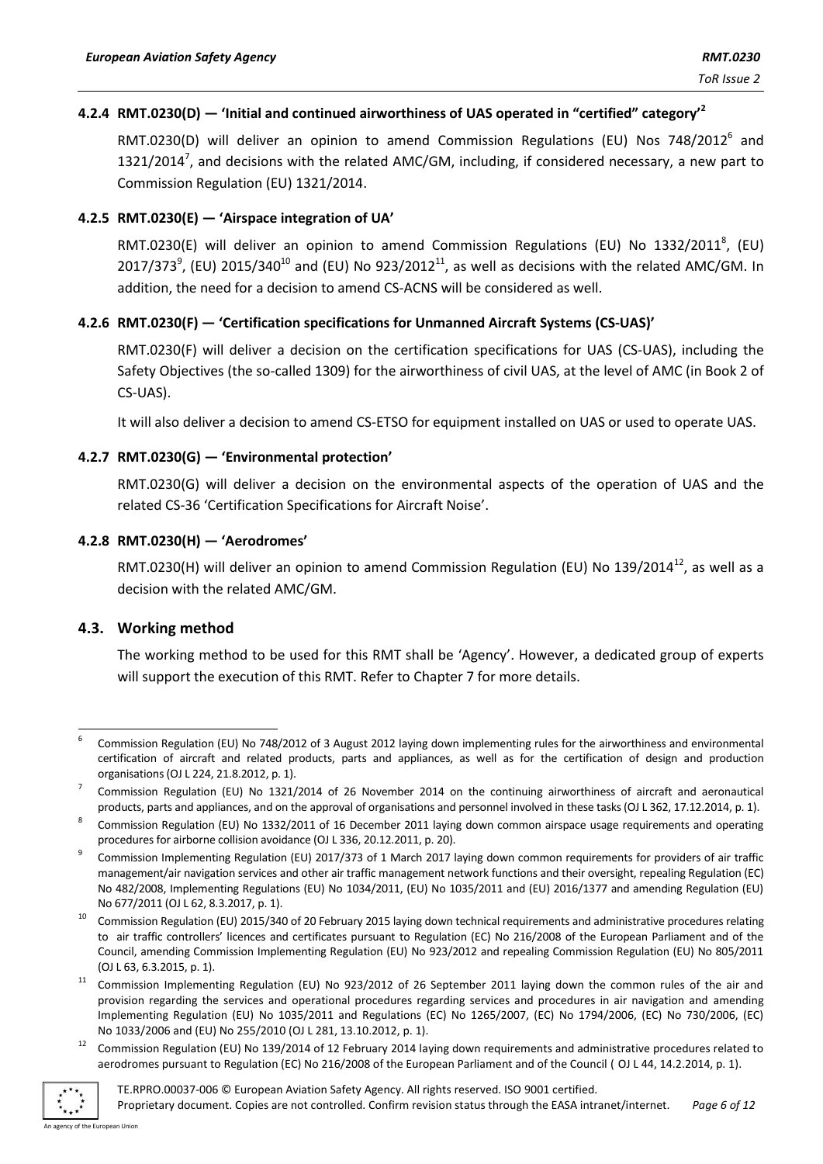## **4.2.4 RMT.0230(D) — 'Initial and continued airworthiness of UAS operated in "certified" category' 2**

RMT.0230(D) will deliver an opinion to amend Commission Regulations (EU) Nos 748/2012<sup>6</sup> and 1321/2014<sup>7</sup>, and decisions with the related AMC/GM, including, if considered necessary, a new part to Commission Regulation (EU) 1321/2014.

#### **4.2.5 RMT.0230(E) — 'Airspace integration of UA'**

RMT.0230(E) will deliver an opinion to amend Commission Regulations (EU) No 1332/2011<sup>8</sup>, (EU) 2017/373 $^9$ , (EU) 2015/340<sup>10</sup> and (EU) No 923/2012<sup>11</sup>, as well as decisions with the related AMC/GM. In addition, the need for a decision to amend CS-ACNS will be considered as well.

#### **4.2.6 RMT.0230(F) — 'Certification specifications for Unmanned Aircraft Systems (CS-UAS)'**

RMT.0230(F) will deliver a decision on the certification specifications for UAS (CS-UAS), including the Safety Objectives (the so-called 1309) for the airworthiness of civil UAS, at the level of AMC (in Book 2 of CS-UAS).

It will also deliver a decision to amend CS-ETSO for equipment installed on UAS or used to operate UAS.

#### **4.2.7 RMT.0230(G) — 'Environmental protection'**

RMT.0230(G) will deliver a decision on the environmental aspects of the operation of UAS and the related CS-36 'Certification Specifications for Aircraft Noise'.

#### **4.2.8 RMT.0230(H) — 'Aerodromes'**

RMT.0230(H) will deliver an opinion to amend Commission Regulation (EU) No 139/2014<sup>12</sup>, as well as a decision with the related AMC/GM.

#### **4.3. Working method**

The working method to be used for this RMT shall be 'Agency'. However, a dedicated group of experts will support the execution of this RMT. Refer to Chapter 7 for more details.

<sup>12</sup> Commission Regulation (EU) No 139/2014 of 12 February 2014 laying down requirements and administrative procedures related to aerodromes pursuant to Regulation (EC) No 216/2008 of the European Parliament and of the Council ( OJ L 44, 14.2.2014, p. 1).



TE.RPRO.00037-006 © European Aviation Safety Agency. All rights reserved. ISO 9001 certified.

<sup>-</sup>6 Commission Regulation (EU) No 748/2012 of 3 August 2012 laying down implementing rules for the airworthiness and environmental certification of aircraft and related products, parts and appliances, as well as for the certification of design and production organisations (OJ L 224, 21.8.2012, p. 1).

<sup>7</sup> Commission Regulation (EU) No 1321/2014 of 26 November 2014 on the continuing airworthiness of aircraft and aeronautical products, parts and appliances, and on the approval of organisations and personnel involved in these tasks (OJ L 362, 17.12.2014, p. 1).

<sup>8</sup> Commission Regulation (EU) No 1332/2011 of 16 December 2011 laying down common airspace usage requirements and operating procedures for airborne collision avoidance (OJ L 336, 20.12.2011, p. 20).

<sup>9</sup> Commission Implementing Regulation (EU) 2017/373 of 1 March 2017 laying down common requirements for providers of air traffic management/air navigation services and other air traffic management network functions and their oversight, repealing Regulation (EC) No 482/2008, Implementing Regulations (EU) No 1034/2011, (EU) No 1035/2011 and (EU) 2016/1377 and amending Regulation (EU) No 677/2011 (OJ L 62, 8.3.2017, p. 1).

<sup>&</sup>lt;sup>10</sup> Commission Regulation (EU) 2015/340 of 20 February 2015 laying down technical requirements and administrative procedures relating to air traffic controllers' licences and certificates pursuant to Regulation (EC) No 216/2008 of the European Parliament and of the Council, amending Commission Implementing Regulation (EU) No 923/2012 and repealing Commission Regulation (EU) No 805/2011 (OJ L 63, 6.3.2015, p. 1).

<sup>&</sup>lt;sup>11</sup> Commission Implementing Regulation (EU) No 923/2012 of 26 September 2011 laying down the common rules of the air and provision regarding the services and operational procedures regarding services and procedures in air navigation and amending Implementing Regulation (EU) No 1035/2011 and Regulations (EC) No 1265/2007, (EC) No 1794/2006, (EC) No 730/2006, (EC) No 1033/2006 and (EU) No 255/2010 (OJ L 281, 13.10.2012, p. 1).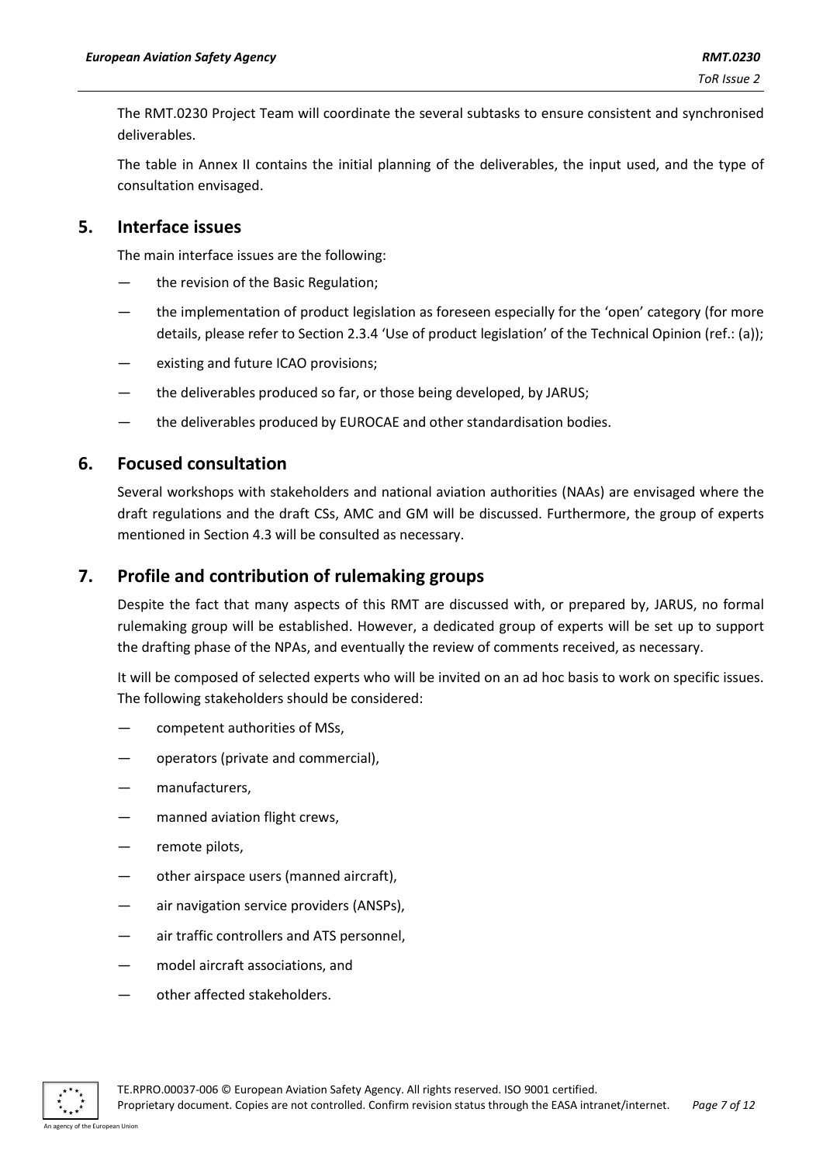The RMT.0230 Project Team will coordinate the several subtasks to ensure consistent and synchronised deliverables.

The table in Annex II contains the initial planning of the deliverables, the input used, and the type of consultation envisaged.

## **5. Interface issues**

The main interface issues are the following:

- the revision of the Basic Regulation;
- the implementation of product legislation as foreseen especially for the 'open' category (for more details, please refer to Section 2.3.4 'Use of product legislation' of the Technical Opinion (ref.: (a));
- existing and future ICAO provisions;
- the deliverables produced so far, or those being developed, by JARUS;
- the deliverables produced by EUROCAE and other standardisation bodies.

## **6. Focused consultation**

Several workshops with stakeholders and national aviation authorities (NAAs) are envisaged where the draft regulations and the draft CSs, AMC and GM will be discussed. Furthermore, the group of experts mentioned in Section 4.3 will be consulted as necessary.

## **7. Profile and contribution of rulemaking groups**

Despite the fact that many aspects of this RMT are discussed with, or prepared by, JARUS, no formal rulemaking group will be established. However, a dedicated group of experts will be set up to support the drafting phase of the NPAs, and eventually the review of comments received, as necessary.

It will be composed of selected experts who will be invited on an ad hoc basis to work on specific issues. The following stakeholders should be considered:

- competent authorities of MSs,
- operators (private and commercial),
- manufacturers,
- manned aviation flight crews,
- remote pilots,
- other airspace users (manned aircraft),
- air navigation service providers (ANSPs),
- air traffic controllers and ATS personnel,
- model aircraft associations, and
- other affected stakeholders.

TE.RPRO.00037-006 © European Aviation Safety Agency. All rights reserved. ISO 9001 certified.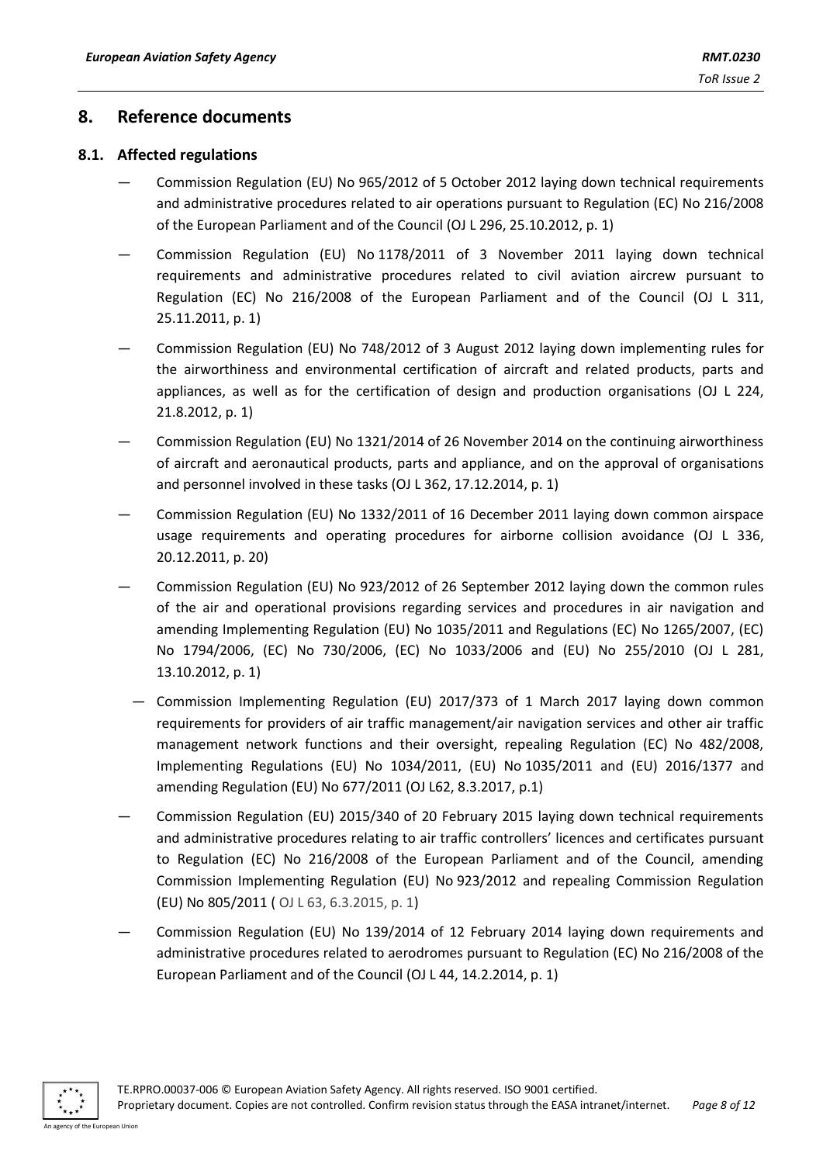### **8. Reference documents**

#### **8.1. Affected regulations**

- Commission Regulation (EU) No 965/2012 of 5 October 2012 laying down technical requirements and administrative procedures related to air operations pursuant to Regulation (EC) No 216/2008 of the European Parliament and of the Council (OJ L 296, 25.10.2012, p. 1)
- Commission Regulation (EU) No 1178/2011 of 3 November 2011 laying down technical requirements and administrative procedures related to civil aviation aircrew pursuant to Regulation (EC) No 216/2008 of the European Parliament and of the Council (OJ L 311, 25.11.2011, p. 1)
- Commission Regulation (EU) No 748/2012 of 3 August 2012 laying down implementing rules for the airworthiness and environmental certification of aircraft and related products, parts and appliances, as well as for the certification of design and production organisations (OJ L 224, 21.8.2012, p. 1)
- Commission Regulation (EU) No 1321/2014 of 26 November 2014 on the continuing airworthiness of aircraft and aeronautical products, parts and appliance, and on the approval of organisations and personnel involved in these tasks (OJ L 362, 17.12.2014, p. 1)
- Commission Regulation (EU) No 1332/2011 of 16 December 2011 laying down common airspace usage requirements and operating procedures for airborne collision avoidance (OJ L 336, 20.12.2011, p. 20)
- Commission Regulation (EU) No 923/2012 of 26 September 2012 laying down the common rules of the air and operational provisions regarding services and procedures in air navigation and amending Implementing Regulation (EU) No 1035/2011 and Regulations (EC) No 1265/2007, (EC) No 1794/2006, (EC) No 730/2006, (EC) No 1033/2006 and (EU) No 255/2010 (OJ L 281, 13.10.2012, p. 1)
	- Commission Implementing Regulation (EU) 2017/373 of 1 March 2017 laying down common requirements for providers of air traffic management/air navigation services and other air traffic management network functions and their oversight, repealing Regulation (EC) No 482/2008, Implementing Regulations (EU) No 1034/2011, (EU) No 1035/2011 and (EU) 2016/1377 and amending Regulation (EU) No 677/2011 (OJ L62, 8.3.2017, p.1)
- Commission Regulation (EU) 2015/340 of 20 February 2015 laying down technical requirements and administrative procedures relating to air traffic controllers' licences and certificates pursuant to Regulation (EC) No 216/2008 of the European Parliament and of the Council, amending Commission Implementing Regulation (EU) No 923/2012 and repealing Commission Regulation (EU) No 805/2011 ( OJ L 63, 6.3.2015, p. 1)
- Commission Regulation (EU) No 139/2014 of 12 February 2014 laying down requirements and administrative procedures related to aerodromes pursuant to Regulation (EC) No 216/2008 of the European Parliament and of the Council (OJ L 44, 14.2.2014, p. 1)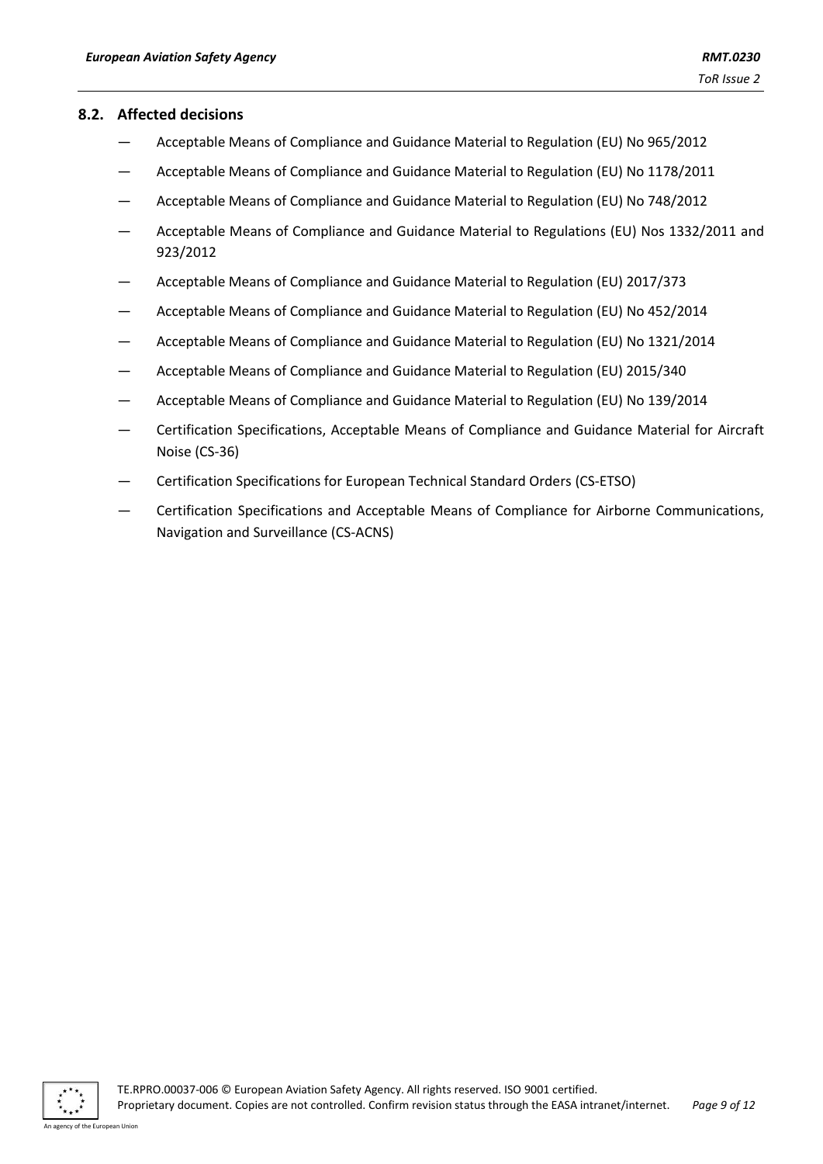#### **8.2. Affected decisions**

- Acceptable Means of Compliance and Guidance Material to Regulation (EU) No 965/2012
- Acceptable Means of Compliance and Guidance Material to Regulation (EU) No 1178/2011
- Acceptable Means of Compliance and Guidance Material to Regulation (EU) No 748/2012
- Acceptable Means of Compliance and Guidance Material to Regulations (EU) Nos 1332/2011 and 923/2012
- Acceptable Means of Compliance and Guidance Material to Regulation (EU) 2017/373
- Acceptable Means of Compliance and Guidance Material to Regulation (EU) No 452/2014
- Acceptable Means of Compliance and Guidance Material to Regulation (EU) No 1321/2014
- Acceptable Means of Compliance and Guidance Material to Regulation (EU) 2015/340
- Acceptable Means of Compliance and Guidance Material to Regulation (EU) No 139/2014
- Certification Specifications, Acceptable Means of Compliance and Guidance Material for Aircraft Noise (CS-36)
- Certification Specifications for European Technical Standard Orders (CS-ETSO)
- Certification Specifications and Acceptable Means of Compliance for Airborne Communications, Navigation and Surveillance (CS-ACNS)



agency of the European Union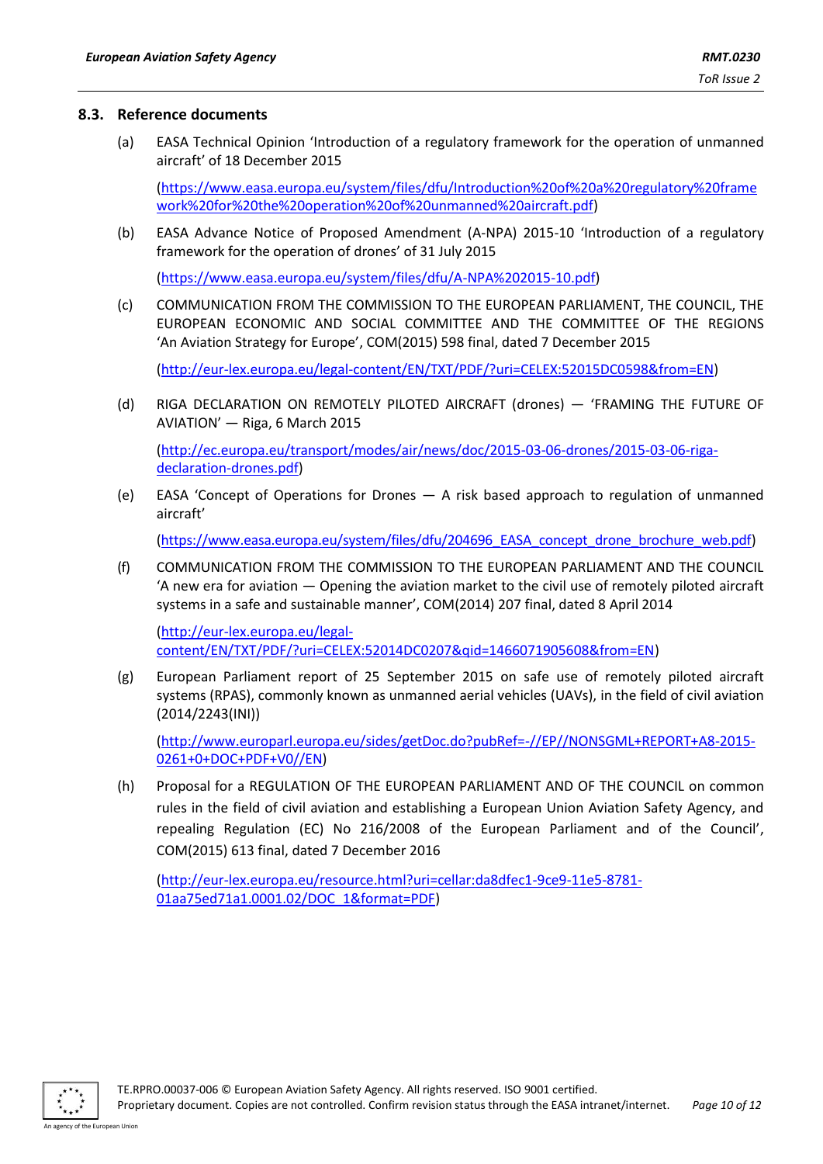#### **8.3. Reference documents**

(a) EASA Technical Opinion 'Introduction of a regulatory framework for the operation of unmanned aircraft' of 18 December 2015

[\(https://www.easa.europa.eu/system/files/dfu/Introduction%20of%20a%20regulatory%20frame](https://www.easa.europa.eu/system/files/dfu/Introduction%20of%20a%20regulatory%20framework%20for%20the%20operation%20of%20unmanned%20aircraft.pdf) [work%20for%20the%20operation%20of%20unmanned%20aircraft.pdf\)](https://www.easa.europa.eu/system/files/dfu/Introduction%20of%20a%20regulatory%20framework%20for%20the%20operation%20of%20unmanned%20aircraft.pdf)

(b) EASA Advance Notice of Proposed Amendment (A-NPA) 2015-10 'Introduction of a regulatory framework for the operation of drones' of 31 July 2015

[\(https://www.easa.europa.eu/system/files/dfu/A-NPA%202015-10.pdf\)](https://www.easa.europa.eu/system/files/dfu/A-NPA%202015-10.pdf)

(c) COMMUNICATION FROM THE COMMISSION TO THE EUROPEAN PARLIAMENT, THE COUNCIL, THE EUROPEAN ECONOMIC AND SOCIAL COMMITTEE AND THE COMMITTEE OF THE REGIONS 'An Aviation Strategy for Europe', COM(2015) 598 final, dated 7 December 2015

[\(http://eur-lex.europa.eu/legal-content/EN/TXT/PDF/?uri=CELEX:52015DC0598&from=EN\)](http://eur-lex.europa.eu/legal-content/EN/TXT/PDF/?uri=CELEX:52015DC0598&from=EN)

(d) RIGA DECLARATION ON REMOTELY PILOTED AIRCRAFT (drones) — 'FRAMING THE FUTURE OF AVIATION' — Riga, 6 March 2015

[\(http://ec.europa.eu/transport/modes/air/news/doc/2015-03-06-drones/2015-03-06-riga](http://ec.europa.eu/transport/modes/air/news/doc/2015-03-06-drones/2015-03-06-riga-declaration-drones.pdf)[declaration-drones.pdf\)](http://ec.europa.eu/transport/modes/air/news/doc/2015-03-06-drones/2015-03-06-riga-declaration-drones.pdf)

(e) EASA 'Concept of Operations for Drones — A risk based approach to regulation of unmanned aircraft'

[\(https://www.easa.europa.eu/system/files/dfu/204696\\_EASA\\_concept\\_drone\\_brochure\\_web.pdf\)](https://www.easa.europa.eu/system/files/dfu/204696_EASA_concept_drone_brochure_web.pdf)

(f) COMMUNICATION FROM THE COMMISSION TO THE EUROPEAN PARLIAMENT AND THE COUNCIL 'A new era for aviation — Opening the aviation market to the civil use of remotely piloted aircraft systems in a safe and sustainable manner', COM(2014) 207 final, dated 8 April 2014

[\(http://eur-lex.europa.eu/legal](http://eur-lex.europa.eu/legal-content/EN/TXT/PDF/?uri=CELEX:52014DC0207&qid=1466071905608&from=EN)[content/EN/TXT/PDF/?uri=CELEX:52014DC0207&qid=1466071905608&from=EN\)](http://eur-lex.europa.eu/legal-content/EN/TXT/PDF/?uri=CELEX:52014DC0207&qid=1466071905608&from=EN)

(g) European Parliament report of 25 September 2015 on safe use of remotely piloted aircraft systems (RPAS), commonly known as unmanned aerial vehicles (UAVs), in the field of civil aviation (2014/2243(INI))

[\(http://www.europarl.europa.eu/sides/getDoc.do?pubRef=-//EP//NONSGML+REPORT+A8-2015-](http://www.europarl.europa.eu/sides/getDoc.do?pubRef=-//EP//NONSGML+REPORT+A8-2015-0261+0+DOC+PDF+V0//EN) [0261+0+DOC+PDF+V0//EN\)](http://www.europarl.europa.eu/sides/getDoc.do?pubRef=-//EP//NONSGML+REPORT+A8-2015-0261+0+DOC+PDF+V0//EN)

(h) Proposal for a REGULATION OF THE EUROPEAN PARLIAMENT AND OF THE COUNCIL on common rules in the field of civil aviation and establishing a European Union Aviation Safety Agency, and repealing Regulation (EC) No 216/2008 of the European Parliament and of the Council', COM(2015) 613 final, dated 7 December 2016

[\(http://eur-lex.europa.eu/resource.html?uri=cellar:da8dfec1-9ce9-11e5-8781-](http://eur-lex.europa.eu/resource.html?uri=cellar:da8dfec1-9ce9-11e5-8781-01aa75ed71a1.0001.02/DOC_1&format=PDF) [01aa75ed71a1.0001.02/DOC\\_1&format=PDF\)](http://eur-lex.europa.eu/resource.html?uri=cellar:da8dfec1-9ce9-11e5-8781-01aa75ed71a1.0001.02/DOC_1&format=PDF)



agency of the European Union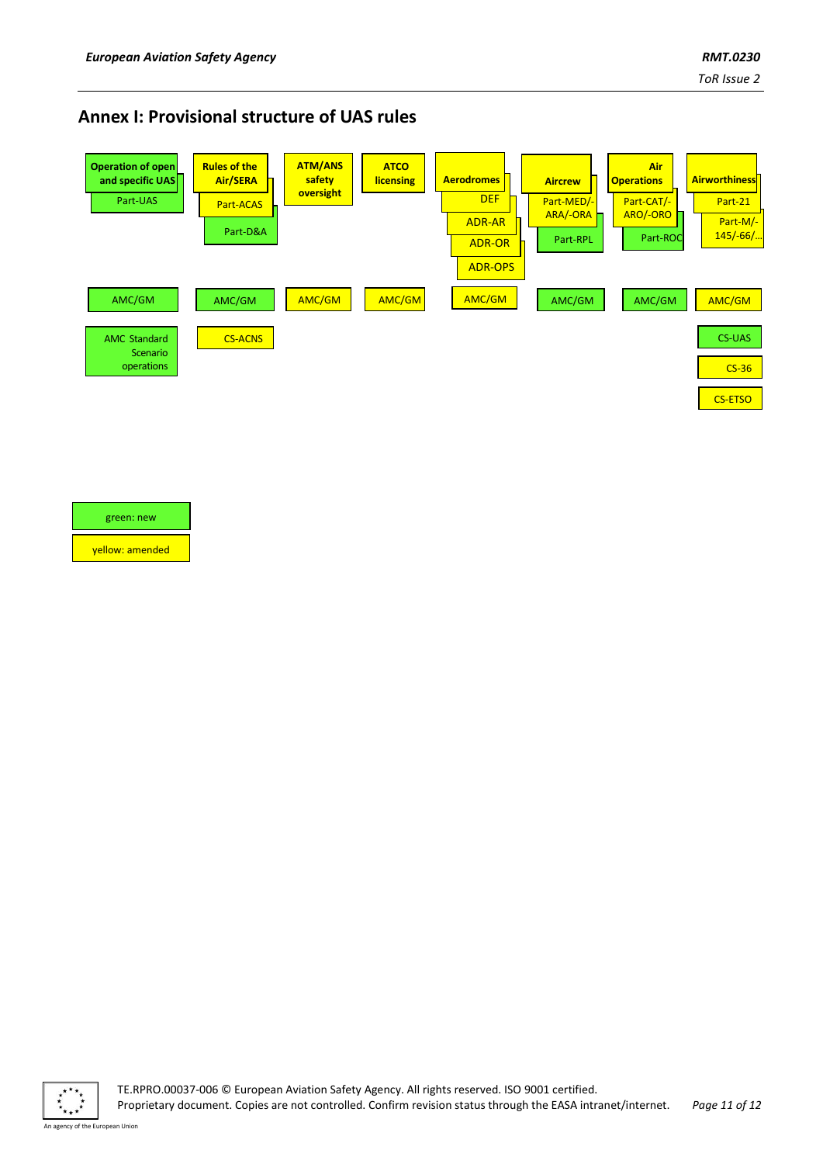## **Annex I: Provisional structure of UAS rules**



#### green: new

yellow: amended